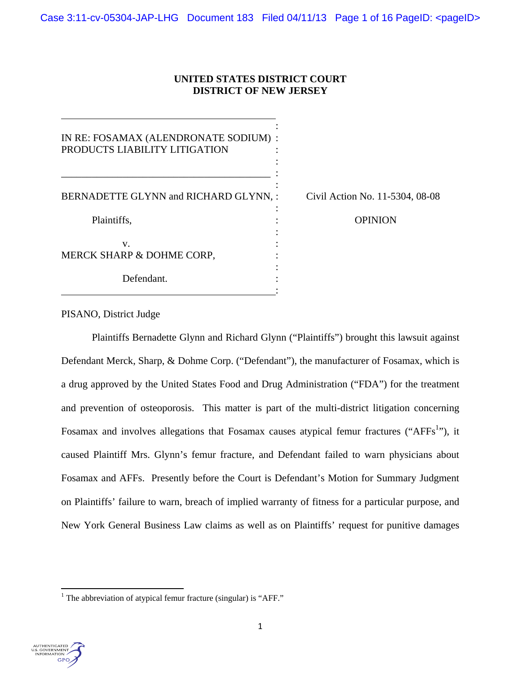# **UNITED STATES DISTRICT COURT DISTRICT OF NEW JERSEY**

| IN RE: FOSAMAX (ALENDRONATE SODIUM) :<br>PRODUCTS LIABILITY LITIGATION |                                 |
|------------------------------------------------------------------------|---------------------------------|
| BERNADETTE GLYNN and RICHARD GLYNN, :                                  | Civil Action No. 11-5304, 08-08 |
|                                                                        |                                 |
| Plaintiffs,                                                            | <b>OPINION</b>                  |
| V.                                                                     |                                 |
| MERCK SHARP & DOHME CORP,                                              |                                 |
| Defendant.                                                             |                                 |

# PISANO, District Judge

Plaintiffs Bernadette Glynn and Richard Glynn ("Plaintiffs") brought this lawsuit against Defendant Merck, Sharp, & Dohme Corp. ("Defendant"), the manufacturer of Fosamax, which is a drug approved by the United States Food and Drug Administration ("FDA") for the treatment and prevention of osteoporosis. This matter is part of the multi-district litigation concerning Fosamax and involves allegations that Fosamax causes atypical femur fractures ("AFFs<sup>1</sup>"), it caused Plaintiff Mrs. Glynn's femur fracture, and Defendant failed to warn physicians about Fosamax and AFFs. Presently before the Court is Defendant's Motion for Summary Judgment on Plaintiffs' failure to warn, breach of implied warranty of fitness for a particular purpose, and New York General Business Law claims as well as on Plaintiffs' request for punitive damages



<sup>&</sup>lt;sup>1</sup> The abbreviation of atypical femur fracture (singular) is "AFF."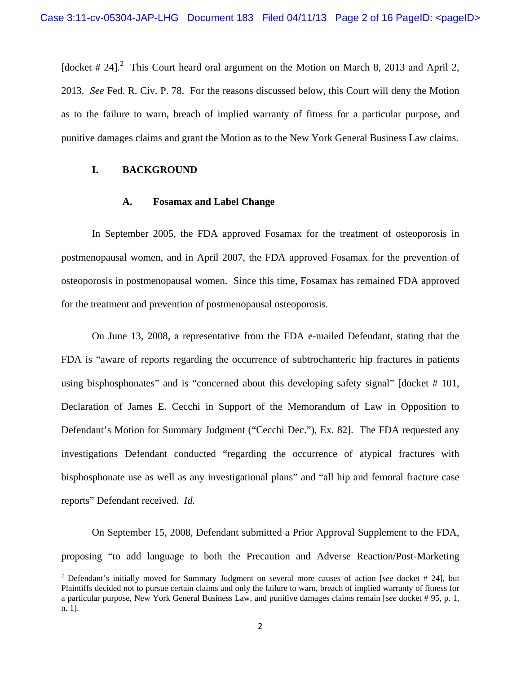[docket  $# 24$ ].<sup>2</sup> This Court heard oral argument on the Motion on March 8, 2013 and April 2, 2013. *See* Fed. R. Civ. P. 78. For the reasons discussed below, this Court will deny the Motion as to the failure to warn, breach of implied warranty of fitness for a particular purpose, and punitive damages claims and grant the Motion as to the New York General Business Law claims.

## **I. BACKGROUND**

## **A. Fosamax and Label Change**

In September 2005, the FDA approved Fosamax for the treatment of osteoporosis in postmenopausal women, and in April 2007, the FDA approved Fosamax for the prevention of osteoporosis in postmenopausal women. Since this time, Fosamax has remained FDA approved for the treatment and prevention of postmenopausal osteoporosis.

On June 13, 2008, a representative from the FDA e-mailed Defendant, stating that the FDA is "aware of reports regarding the occurrence of subtrochanteric hip fractures in patients using bisphosphonates" and is "concerned about this developing safety signal" [docket # 101, Declaration of James E. Cecchi in Support of the Memorandum of Law in Opposition to Defendant's Motion for Summary Judgment ("Cecchi Dec."), Ex. 82]. The FDA requested any investigations Defendant conducted "regarding the occurrence of atypical fractures with bisphosphonate use as well as any investigational plans" and "all hip and femoral fracture case reports" Defendant received. *Id.*

On September 15, 2008, Defendant submitted a Prior Approval Supplement to the FDA, proposing "to add language to both the Precaution and Adverse Reaction/Post-Marketing

<sup>2</sup> Defendant's initially moved for Summary Judgment on several more causes of action [*see* docket # 24], but Plaintiffs decided not to pursue certain claims and only the failure to warn, breach of implied warranty of fitness for a particular purpose, New York General Business Law, and punitive damages claims remain [*see* docket # 95, p. 1, n. 1].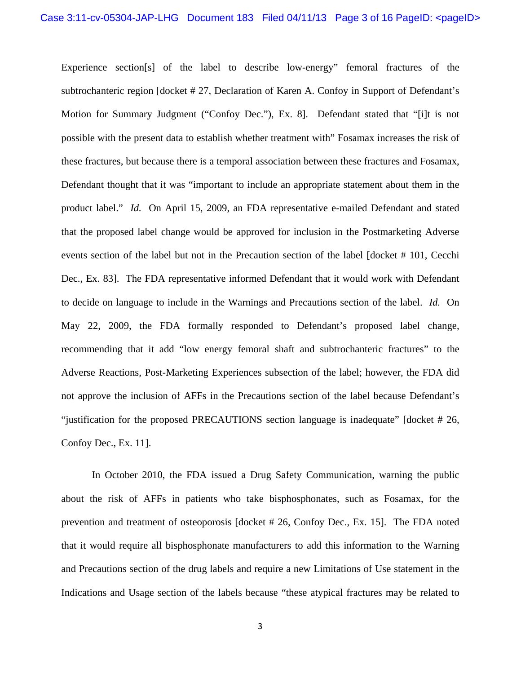Experience section[s] of the label to describe low-energy" femoral fractures of the subtrochanteric region [docket # 27, Declaration of Karen A. Confoy in Support of Defendant's Motion for Summary Judgment ("Confoy Dec."), Ex. 8]. Defendant stated that "[i]t is not possible with the present data to establish whether treatment with" Fosamax increases the risk of these fractures, but because there is a temporal association between these fractures and Fosamax, Defendant thought that it was "important to include an appropriate statement about them in the product label." *Id.* On April 15, 2009, an FDA representative e-mailed Defendant and stated that the proposed label change would be approved for inclusion in the Postmarketing Adverse events section of the label but not in the Precaution section of the label [docket # 101, Cecchi Dec., Ex. 83]. The FDA representative informed Defendant that it would work with Defendant to decide on language to include in the Warnings and Precautions section of the label. *Id.* On May 22, 2009, the FDA formally responded to Defendant's proposed label change, recommending that it add "low energy femoral shaft and subtrochanteric fractures" to the Adverse Reactions, Post-Marketing Experiences subsection of the label; however, the FDA did not approve the inclusion of AFFs in the Precautions section of the label because Defendant's "justification for the proposed PRECAUTIONS section language is inadequate" [docket # 26, Confoy Dec., Ex. 11].

In October 2010, the FDA issued a Drug Safety Communication, warning the public about the risk of AFFs in patients who take bisphosphonates, such as Fosamax, for the prevention and treatment of osteoporosis [docket # 26, Confoy Dec., Ex. 15]. The FDA noted that it would require all bisphosphonate manufacturers to add this information to the Warning and Precautions section of the drug labels and require a new Limitations of Use statement in the Indications and Usage section of the labels because "these atypical fractures may be related to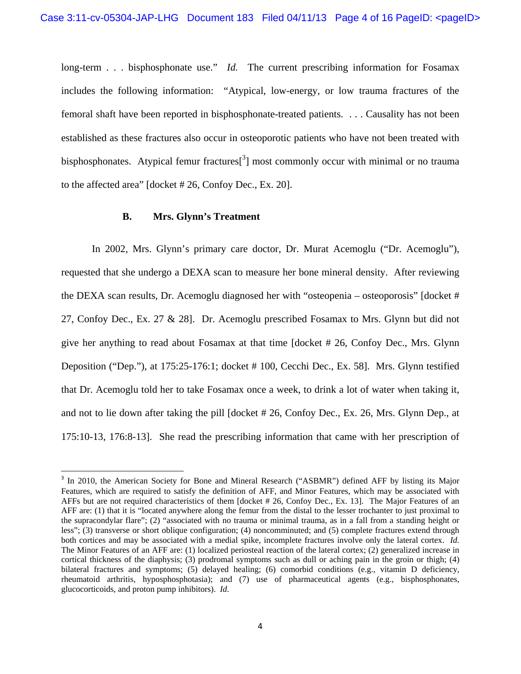long-term . . . bisphosphonate use." *Id.* The current prescribing information for Fosamax includes the following information: "Atypical, low-energy, or low trauma fractures of the femoral shaft have been reported in bisphosphonate-treated patients. . . . Causality has not been established as these fractures also occur in osteoporotic patients who have not been treated with bisphosphonates. Atypical femur fractures $[3]$  most commonly occur with minimal or no trauma to the affected area" [docket # 26, Confoy Dec., Ex. 20].

## **B. Mrs. Glynn's Treatment**

 In 2002, Mrs. Glynn's primary care doctor, Dr. Murat Acemoglu ("Dr. Acemoglu"), requested that she undergo a DEXA scan to measure her bone mineral density. After reviewing the DEXA scan results, Dr. Acemoglu diagnosed her with "osteopenia – osteoporosis" [docket # 27, Confoy Dec., Ex. 27 & 28]. Dr. Acemoglu prescribed Fosamax to Mrs. Glynn but did not give her anything to read about Fosamax at that time [docket # 26, Confoy Dec., Mrs. Glynn Deposition ("Dep."), at 175:25-176:1; docket # 100, Cecchi Dec., Ex. 58]. Mrs. Glynn testified that Dr. Acemoglu told her to take Fosamax once a week, to drink a lot of water when taking it, and not to lie down after taking the pill [docket # 26, Confoy Dec., Ex. 26, Mrs. Glynn Dep., at 175:10-13, 176:8-13]. She read the prescribing information that came with her prescription of

<sup>&</sup>lt;sup>3</sup> In 2010, the American Society for Bone and Mineral Research ("ASBMR") defined AFF by listing its Major Features, which are required to satisfy the definition of AFF, and Minor Features, which may be associated with AFFs but are not required characteristics of them [docket # 26, Confoy Dec., Ex. 13]. The Major Features of an AFF are: (1) that it is "located anywhere along the femur from the distal to the lesser trochanter to just proximal to the supracondylar flare"; (2) "associated with no trauma or minimal trauma, as in a fall from a standing height or less"; (3) transverse or short oblique configuration; (4) noncomminuted; and (5) complete fractures extend through both cortices and may be associated with a medial spike, incomplete fractures involve only the lateral cortex. *Id.* The Minor Features of an AFF are: (1) localized periosteal reaction of the lateral cortex; (2) generalized increase in cortical thickness of the diaphysis; (3) prodromal symptoms such as dull or aching pain in the groin or thigh; (4) bilateral fractures and symptoms; (5) delayed healing; (6) comorbid conditions (e.g., vitamin D deficiency, rheumatoid arthritis, hyposphosphotasia); and (7) use of pharmaceutical agents (e.g., bisphosphonates, glucocorticoids, and proton pump inhibitors). *Id.*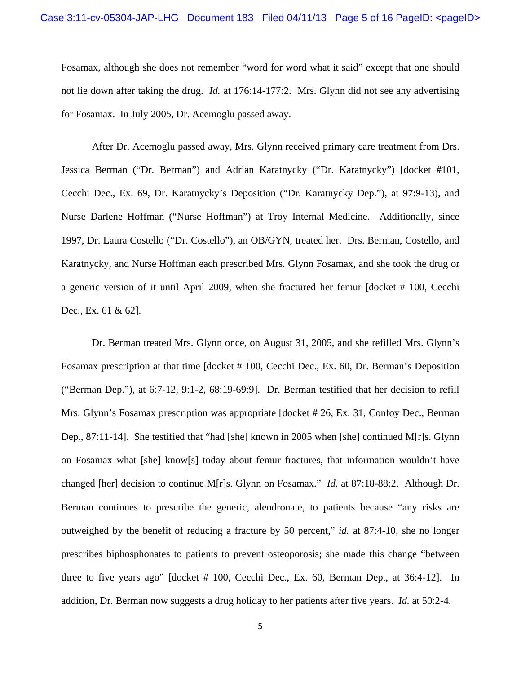Fosamax, although she does not remember "word for word what it said" except that one should not lie down after taking the drug. *Id.* at 176:14-177:2. Mrs. Glynn did not see any advertising for Fosamax. In July 2005, Dr. Acemoglu passed away.

 After Dr. Acemoglu passed away, Mrs. Glynn received primary care treatment from Drs. Jessica Berman ("Dr. Berman") and Adrian Karatnycky ("Dr. Karatnycky") [docket #101, Cecchi Dec., Ex. 69, Dr. Karatnycky's Deposition ("Dr. Karatnycky Dep."), at 97:9-13), and Nurse Darlene Hoffman ("Nurse Hoffman") at Troy Internal Medicine. Additionally, since 1997, Dr. Laura Costello ("Dr. Costello"), an OB/GYN, treated her. Drs. Berman, Costello, and Karatnycky, and Nurse Hoffman each prescribed Mrs. Glynn Fosamax, and she took the drug or a generic version of it until April 2009, when she fractured her femur [docket # 100, Cecchi Dec., Ex. 61 & 62].

Dr. Berman treated Mrs. Glynn once, on August 31, 2005, and she refilled Mrs. Glynn's Fosamax prescription at that time [docket # 100, Cecchi Dec., Ex. 60, Dr. Berman's Deposition ("Berman Dep."), at 6:7-12, 9:1-2, 68:19-69:9]. Dr. Berman testified that her decision to refill Mrs. Glynn's Fosamax prescription was appropriate [docket # 26, Ex. 31, Confoy Dec., Berman Dep., 87:11-14]. She testified that "had [she] known in 2005 when [she] continued M[r]s. Glynn on Fosamax what [she] know[s] today about femur fractures, that information wouldn't have changed [her] decision to continue M[r]s. Glynn on Fosamax." *Id.* at 87:18-88:2. Although Dr. Berman continues to prescribe the generic, alendronate, to patients because "any risks are outweighed by the benefit of reducing a fracture by 50 percent," *id.* at 87:4-10, she no longer prescribes biphosphonates to patients to prevent osteoporosis; she made this change "between three to five years ago" [docket # 100, Cecchi Dec., Ex. 60, Berman Dep., at 36:4-12]. In addition, Dr. Berman now suggests a drug holiday to her patients after five years. *Id.* at 50:2-4.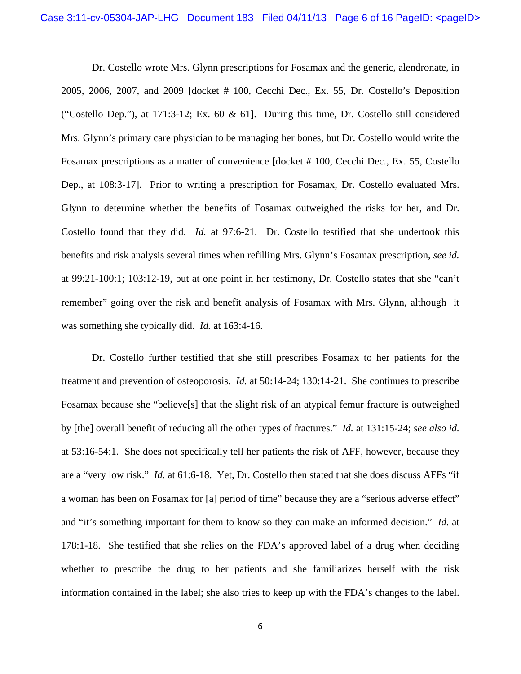Dr. Costello wrote Mrs. Glynn prescriptions for Fosamax and the generic, alendronate, in 2005, 2006, 2007, and 2009 [docket # 100, Cecchi Dec., Ex. 55, Dr. Costello's Deposition ("Costello Dep."), at 171:3-12; Ex. 60 & 61]. During this time, Dr. Costello still considered Mrs. Glynn's primary care physician to be managing her bones, but Dr. Costello would write the Fosamax prescriptions as a matter of convenience [docket # 100, Cecchi Dec., Ex. 55, Costello Dep., at 108:3-17]. Prior to writing a prescription for Fosamax, Dr. Costello evaluated Mrs. Glynn to determine whether the benefits of Fosamax outweighed the risks for her, and Dr. Costello found that they did. *Id.* at 97:6-21. Dr. Costello testified that she undertook this benefits and risk analysis several times when refilling Mrs. Glynn's Fosamax prescription, *see id.* at 99:21-100:1; 103:12-19, but at one point in her testimony, Dr. Costello states that she "can't remember" going over the risk and benefit analysis of Fosamax with Mrs. Glynn, although it was something she typically did. *Id.* at 163:4-16.

Dr. Costello further testified that she still prescribes Fosamax to her patients for the treatment and prevention of osteoporosis. *Id.* at 50:14-24; 130:14-21. She continues to prescribe Fosamax because she "believe[s] that the slight risk of an atypical femur fracture is outweighed by [the] overall benefit of reducing all the other types of fractures." *Id.* at 131:15-24; *see also id.* at 53:16-54:1. She does not specifically tell her patients the risk of AFF, however, because they are a "very low risk." *Id.* at 61:6-18. Yet, Dr. Costello then stated that she does discuss AFFs "if a woman has been on Fosamax for [a] period of time" because they are a "serious adverse effect" and "it's something important for them to know so they can make an informed decision." *Id.* at 178:1-18. She testified that she relies on the FDA's approved label of a drug when deciding whether to prescribe the drug to her patients and she familiarizes herself with the risk information contained in the label; she also tries to keep up with the FDA's changes to the label.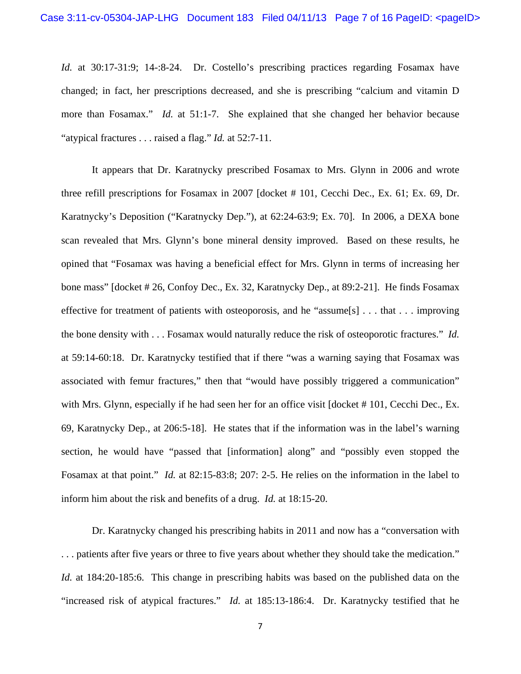*Id.* at 30:17-31:9; 14-:8-24. Dr. Costello's prescribing practices regarding Fosamax have changed; in fact, her prescriptions decreased, and she is prescribing "calcium and vitamin D more than Fosamax." *Id.* at 51:1-7. She explained that she changed her behavior because "atypical fractures . . . raised a flag." *Id.* at 52:7-11.

It appears that Dr. Karatnycky prescribed Fosamax to Mrs. Glynn in 2006 and wrote three refill prescriptions for Fosamax in 2007 [docket # 101, Cecchi Dec., Ex. 61; Ex. 69, Dr. Karatnycky's Deposition ("Karatnycky Dep."), at 62:24-63:9; Ex. 70]. In 2006, a DEXA bone scan revealed that Mrs. Glynn's bone mineral density improved. Based on these results, he opined that "Fosamax was having a beneficial effect for Mrs. Glynn in terms of increasing her bone mass" [docket # 26, Confoy Dec., Ex. 32, Karatnycky Dep., at 89:2-21]. He finds Fosamax effective for treatment of patients with osteoporosis, and he "assume[s] . . . that . . . improving the bone density with . . . Fosamax would naturally reduce the risk of osteoporotic fractures." *Id.* at 59:14-60:18. Dr. Karatnycky testified that if there "was a warning saying that Fosamax was associated with femur fractures," then that "would have possibly triggered a communication" with Mrs. Glynn, especially if he had seen her for an office visit [docket # 101, Cecchi Dec., Ex. 69, Karatnycky Dep., at 206:5-18]. He states that if the information was in the label's warning section, he would have "passed that [information] along" and "possibly even stopped the Fosamax at that point." *Id.* at 82:15-83:8; 207: 2-5. He relies on the information in the label to inform him about the risk and benefits of a drug. *Id.* at 18:15-20.

Dr. Karatnycky changed his prescribing habits in 2011 and now has a "conversation with . . . patients after five years or three to five years about whether they should take the medication." *Id.* at 184:20-185:6. This change in prescribing habits was based on the published data on the "increased risk of atypical fractures." *Id.* at 185:13-186:4. Dr. Karatnycky testified that he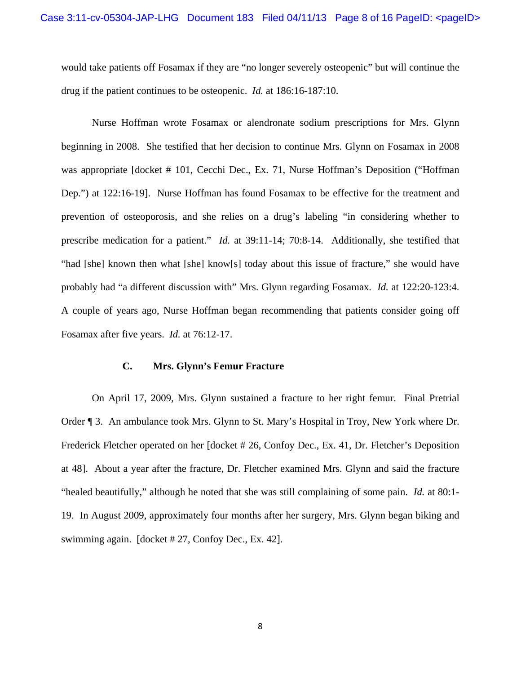would take patients off Fosamax if they are "no longer severely osteopenic" but will continue the drug if the patient continues to be osteopenic. *Id.* at 186:16-187:10.

Nurse Hoffman wrote Fosamax or alendronate sodium prescriptions for Mrs. Glynn beginning in 2008. She testified that her decision to continue Mrs. Glynn on Fosamax in 2008 was appropriate [docket # 101, Cecchi Dec., Ex. 71, Nurse Hoffman's Deposition ("Hoffman") Dep.") at 122:16-19]. Nurse Hoffman has found Fosamax to be effective for the treatment and prevention of osteoporosis, and she relies on a drug's labeling "in considering whether to prescribe medication for a patient." *Id.* at 39:11-14; 70:8-14. Additionally, she testified that "had [she] known then what [she] know[s] today about this issue of fracture," she would have probably had "a different discussion with" Mrs. Glynn regarding Fosamax. *Id.* at 122:20-123:4. A couple of years ago, Nurse Hoffman began recommending that patients consider going off Fosamax after five years. *Id.* at 76:12-17.

## **C. Mrs. Glynn's Femur Fracture**

On April 17, 2009, Mrs. Glynn sustained a fracture to her right femur. Final Pretrial Order ¶ 3. An ambulance took Mrs. Glynn to St. Mary's Hospital in Troy, New York where Dr. Frederick Fletcher operated on her [docket # 26, Confoy Dec., Ex. 41, Dr. Fletcher's Deposition at 48]. About a year after the fracture, Dr. Fletcher examined Mrs. Glynn and said the fracture "healed beautifully," although he noted that she was still complaining of some pain. *Id.* at 80:1- 19. In August 2009, approximately four months after her surgery, Mrs. Glynn began biking and swimming again. [docket # 27, Confoy Dec., Ex. 42].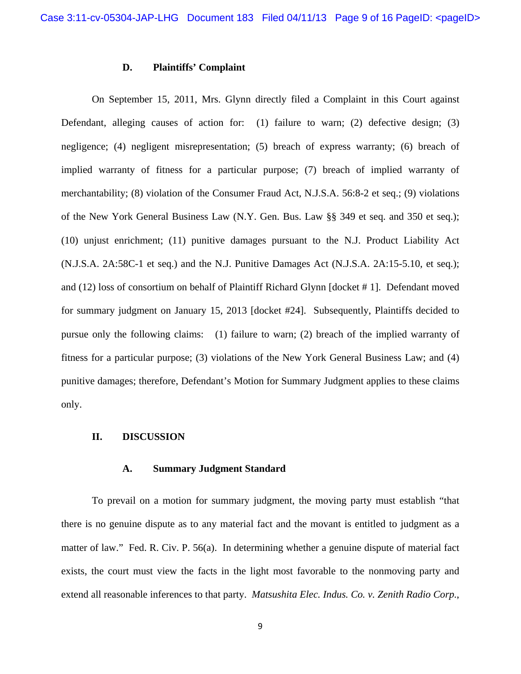#### **D. Plaintiffs' Complaint**

On September 15, 2011, Mrs. Glynn directly filed a Complaint in this Court against Defendant, alleging causes of action for: (1) failure to warn; (2) defective design; (3) negligence; (4) negligent misrepresentation; (5) breach of express warranty; (6) breach of implied warranty of fitness for a particular purpose; (7) breach of implied warranty of merchantability; (8) violation of the Consumer Fraud Act, N.J.S.A. 56:8-2 et seq.; (9) violations of the New York General Business Law (N.Y. Gen. Bus. Law §§ 349 et seq. and 350 et seq.); (10) unjust enrichment; (11) punitive damages pursuant to the N.J. Product Liability Act (N.J.S.A. 2A:58C-1 et seq.) and the N.J. Punitive Damages Act (N.J.S.A. 2A:15-5.10, et seq.); and (12) loss of consortium on behalf of Plaintiff Richard Glynn [docket # 1]. Defendant moved for summary judgment on January 15, 2013 [docket #24]. Subsequently, Plaintiffs decided to pursue only the following claims: (1) failure to warn; (2) breach of the implied warranty of fitness for a particular purpose; (3) violations of the New York General Business Law; and (4) punitive damages; therefore, Defendant's Motion for Summary Judgment applies to these claims only.

## **II. DISCUSSION**

#### **A. Summary Judgment Standard**

To prevail on a motion for summary judgment, the moving party must establish "that there is no genuine dispute as to any material fact and the movant is entitled to judgment as a matter of law." Fed. R. Civ. P. 56(a). In determining whether a genuine dispute of material fact exists, the court must view the facts in the light most favorable to the nonmoving party and extend all reasonable inferences to that party. *Matsushita Elec. Indus. Co. v. Zenith Radio Corp.*,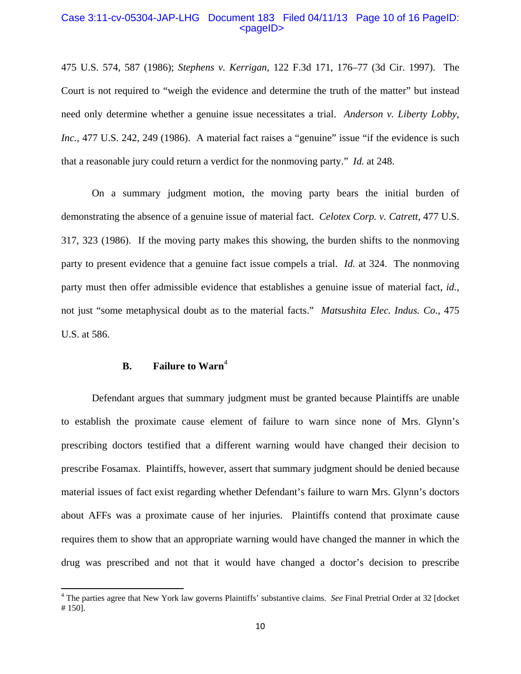#### Case 3:11-cv-05304-JAP-LHG Document 183 Filed 04/11/13 Page 10 of 16 PageID:  $<$ pageID $>$

475 U.S. 574, 587 (1986); *Stephens v. Kerrigan*, 122 F.3d 171, 176–77 (3d Cir. 1997). The Court is not required to "weigh the evidence and determine the truth of the matter" but instead need only determine whether a genuine issue necessitates a trial. *Anderson v. Liberty Lobby, Inc.*, 477 U.S. 242, 249 (1986). A material fact raises a "genuine" issue "if the evidence is such that a reasonable jury could return a verdict for the nonmoving party." *Id.* at 248.

On a summary judgment motion, the moving party bears the initial burden of demonstrating the absence of a genuine issue of material fact. *Celotex Corp. v. Catrett*, 477 U.S. 317, 323 (1986). If the moving party makes this showing, the burden shifts to the nonmoving party to present evidence that a genuine fact issue compels a trial. *Id.* at 324. The nonmoving party must then offer admissible evidence that establishes a genuine issue of material fact, *id.*, not just "some metaphysical doubt as to the material facts." *Matsushita Elec. Indus. Co.*, 475 U.S. at 586.

# **B.** Failure to Warn<sup>4</sup>

Defendant argues that summary judgment must be granted because Plaintiffs are unable to establish the proximate cause element of failure to warn since none of Mrs. Glynn's prescribing doctors testified that a different warning would have changed their decision to prescribe Fosamax. Plaintiffs, however, assert that summary judgment should be denied because material issues of fact exist regarding whether Defendant's failure to warn Mrs. Glynn's doctors about AFFs was a proximate cause of her injuries. Plaintiffs contend that proximate cause requires them to show that an appropriate warning would have changed the manner in which the drug was prescribed and not that it would have changed a doctor's decision to prescribe

<sup>&</sup>lt;sup>4</sup> The parties agree that New York law governs Plaintiffs' substantive claims. *See* Final Pretrial Order at 32 [docket # 150].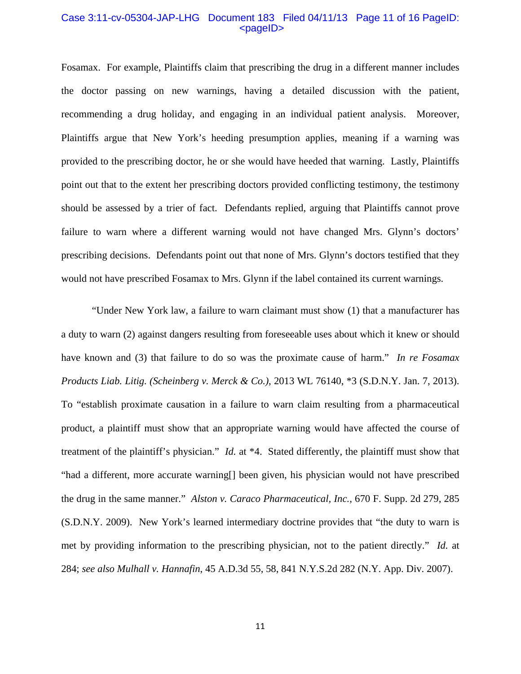#### Case 3:11-cv-05304-JAP-LHG Document 183 Filed 04/11/13 Page 11 of 16 PageID:  $<$ pageID $>$

Fosamax. For example, Plaintiffs claim that prescribing the drug in a different manner includes the doctor passing on new warnings, having a detailed discussion with the patient, recommending a drug holiday, and engaging in an individual patient analysis. Moreover, Plaintiffs argue that New York's heeding presumption applies, meaning if a warning was provided to the prescribing doctor, he or she would have heeded that warning. Lastly, Plaintiffs point out that to the extent her prescribing doctors provided conflicting testimony, the testimony should be assessed by a trier of fact. Defendants replied, arguing that Plaintiffs cannot prove failure to warn where a different warning would not have changed Mrs. Glynn's doctors' prescribing decisions. Defendants point out that none of Mrs. Glynn's doctors testified that they would not have prescribed Fosamax to Mrs. Glynn if the label contained its current warnings.

 "Under New York law, a failure to warn claimant must show (1) that a manufacturer has a duty to warn (2) against dangers resulting from foreseeable uses about which it knew or should have known and (3) that failure to do so was the proximate cause of harm." *In re Fosamax Products Liab. Litig. (Scheinberg v. Merck & Co.)*, 2013 WL 76140, \*3 (S.D.N.Y. Jan. 7, 2013). To "establish proximate causation in a failure to warn claim resulting from a pharmaceutical product, a plaintiff must show that an appropriate warning would have affected the course of treatment of the plaintiff's physician." *Id.* at \*4. Stated differently, the plaintiff must show that "had a different, more accurate warning[] been given, his physician would not have prescribed the drug in the same manner." *Alston v. Caraco Pharmaceutical, Inc.*, 670 F. Supp. 2d 279, 285 (S.D.N.Y. 2009). New York's learned intermediary doctrine provides that "the duty to warn is met by providing information to the prescribing physician, not to the patient directly." *Id.* at 284; *see also Mulhall v. Hannafin*, 45 A.D.3d 55, 58, 841 N.Y.S.2d 282 (N.Y. App. Div. 2007).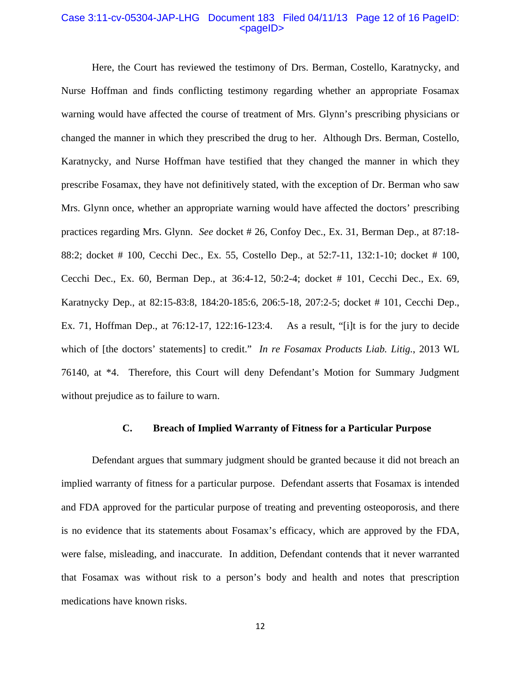#### Case 3:11-cv-05304-JAP-LHG Document 183 Filed 04/11/13 Page 12 of 16 PageID:  $<$ pageID $>$

 Here, the Court has reviewed the testimony of Drs. Berman, Costello, Karatnycky, and Nurse Hoffman and finds conflicting testimony regarding whether an appropriate Fosamax warning would have affected the course of treatment of Mrs. Glynn's prescribing physicians or changed the manner in which they prescribed the drug to her. Although Drs. Berman, Costello, Karatnycky, and Nurse Hoffman have testified that they changed the manner in which they prescribe Fosamax, they have not definitively stated, with the exception of Dr. Berman who saw Mrs. Glynn once, whether an appropriate warning would have affected the doctors' prescribing practices regarding Mrs. Glynn. *See* docket # 26, Confoy Dec., Ex. 31, Berman Dep., at 87:18- 88:2; docket # 100, Cecchi Dec., Ex. 55, Costello Dep., at 52:7-11, 132:1-10; docket # 100, Cecchi Dec., Ex. 60, Berman Dep., at 36:4-12, 50:2-4; docket # 101, Cecchi Dec., Ex. 69, Karatnycky Dep., at 82:15-83:8, 184:20-185:6, 206:5-18, 207:2-5; docket # 101, Cecchi Dep., Ex. 71, Hoffman Dep., at 76:12-17, 122:16-123:4. As a result, "[i]t is for the jury to decide which of [the doctors' statements] to credit." *In re Fosamax Products Liab. Litig.*, 2013 WL 76140, at \*4. Therefore, this Court will deny Defendant's Motion for Summary Judgment without prejudice as to failure to warn.

## **C. Breach of Implied Warranty of Fitness for a Particular Purpose**

Defendant argues that summary judgment should be granted because it did not breach an implied warranty of fitness for a particular purpose. Defendant asserts that Fosamax is intended and FDA approved for the particular purpose of treating and preventing osteoporosis, and there is no evidence that its statements about Fosamax's efficacy, which are approved by the FDA, were false, misleading, and inaccurate. In addition, Defendant contends that it never warranted that Fosamax was without risk to a person's body and health and notes that prescription medications have known risks.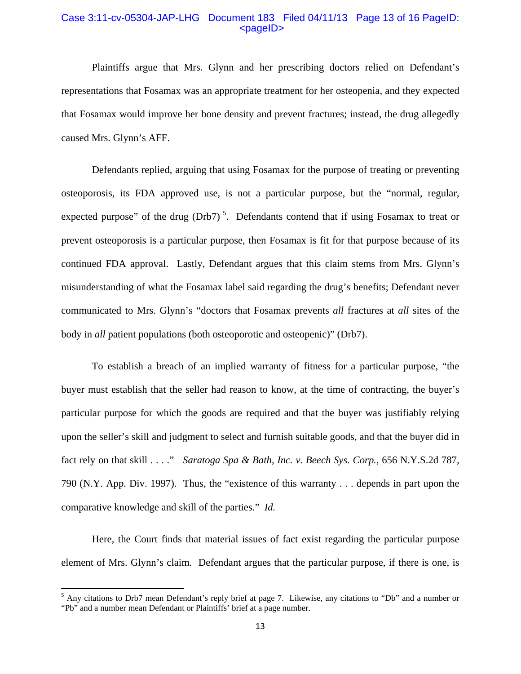#### Case 3:11-cv-05304-JAP-LHG Document 183 Filed 04/11/13 Page 13 of 16 PageID:  $<$ pageID $>$

 Plaintiffs argue that Mrs. Glynn and her prescribing doctors relied on Defendant's representations that Fosamax was an appropriate treatment for her osteopenia, and they expected that Fosamax would improve her bone density and prevent fractures; instead, the drug allegedly caused Mrs. Glynn's AFF.

 Defendants replied, arguing that using Fosamax for the purpose of treating or preventing osteoporosis, its FDA approved use, is not a particular purpose, but the "normal, regular, expected purpose" of the drug  $(Drb7)^5$ . Defendants contend that if using Fosamax to treat or prevent osteoporosis is a particular purpose, then Fosamax is fit for that purpose because of its continued FDA approval. Lastly, Defendant argues that this claim stems from Mrs. Glynn's misunderstanding of what the Fosamax label said regarding the drug's benefits; Defendant never communicated to Mrs. Glynn's "doctors that Fosamax prevents *all* fractures at *all* sites of the body in *all* patient populations (both osteoporotic and osteopenic)" (Drb7).

 To establish a breach of an implied warranty of fitness for a particular purpose, "the buyer must establish that the seller had reason to know, at the time of contracting, the buyer's particular purpose for which the goods are required and that the buyer was justifiably relying upon the seller's skill and judgment to select and furnish suitable goods, and that the buyer did in fact rely on that skill . . . ." *Saratoga Spa & Bath, Inc. v. Beech Sys. Corp.*, 656 N.Y.S.2d 787, 790 (N.Y. App. Div. 1997). Thus, the "existence of this warranty . . . depends in part upon the comparative knowledge and skill of the parties." *Id.*

 Here, the Court finds that material issues of fact exist regarding the particular purpose element of Mrs. Glynn's claim. Defendant argues that the particular purpose, if there is one, is

<sup>&</sup>lt;sup>5</sup> Any citations to Drb7 mean Defendant's reply brief at page 7. Likewise, any citations to "Db" and a number or "Pb" and a number mean Defendant or Plaintiffs' brief at a page number.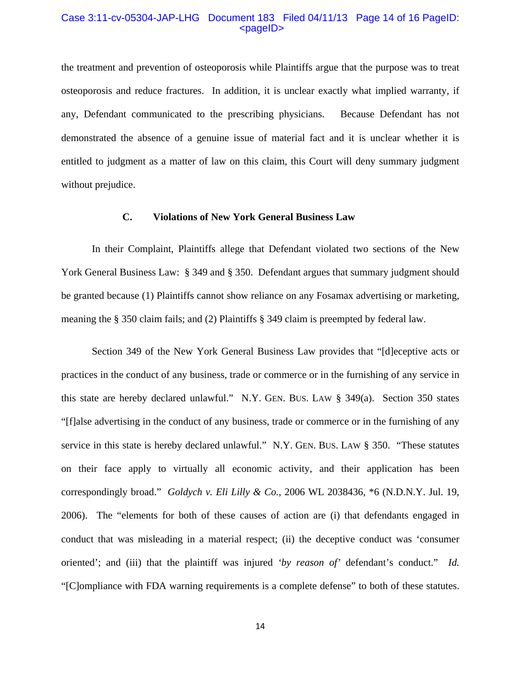#### Case 3:11-cv-05304-JAP-LHG Document 183 Filed 04/11/13 Page 14 of 16 PageID:  $<$ pageID $>$

the treatment and prevention of osteoporosis while Plaintiffs argue that the purpose was to treat osteoporosis and reduce fractures. In addition, it is unclear exactly what implied warranty, if any, Defendant communicated to the prescribing physicians. Because Defendant has not demonstrated the absence of a genuine issue of material fact and it is unclear whether it is entitled to judgment as a matter of law on this claim, this Court will deny summary judgment without prejudice.

## **C. Violations of New York General Business Law**

 In their Complaint, Plaintiffs allege that Defendant violated two sections of the New York General Business Law: § 349 and § 350. Defendant argues that summary judgment should be granted because (1) Plaintiffs cannot show reliance on any Fosamax advertising or marketing, meaning the § 350 claim fails; and (2) Plaintiffs § 349 claim is preempted by federal law.

 Section 349 of the New York General Business Law provides that "[d]eceptive acts or practices in the conduct of any business, trade or commerce or in the furnishing of any service in this state are hereby declared unlawful." N.Y. GEN. BUS. LAW § 349(a). Section 350 states "[f]alse advertising in the conduct of any business, trade or commerce or in the furnishing of any service in this state is hereby declared unlawful." N.Y. GEN. BUS. LAW § 350. "These statutes on their face apply to virtually all economic activity, and their application has been correspondingly broad." *Goldych v. Eli Lilly & Co.*, 2006 WL 2038436, \*6 (N.D.N.Y. Jul. 19, 2006). The "elements for both of these causes of action are (i) that defendants engaged in conduct that was misleading in a material respect; (ii) the deceptive conduct was 'consumer oriented'; and (iii) that the plaintiff was injured *'by reason of'* defendant's conduct." *Id.* "[C]ompliance with FDA warning requirements is a complete defense" to both of these statutes.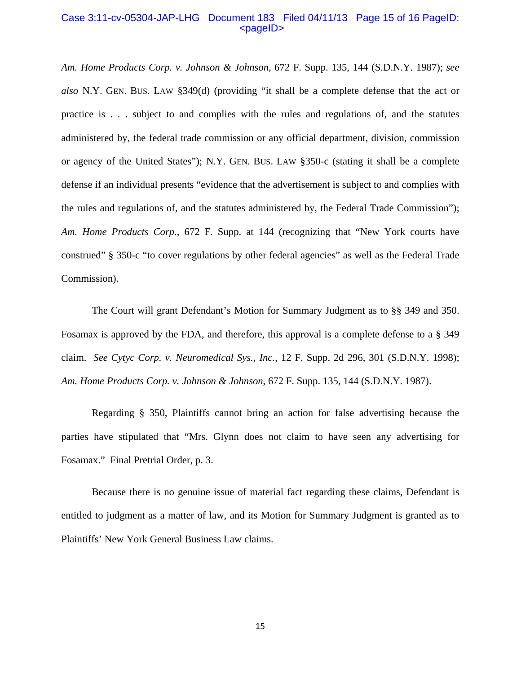#### Case 3:11-cv-05304-JAP-LHG Document 183 Filed 04/11/13 Page 15 of 16 PageID:  $<$ pageID $>$

*Am. Home Products Corp. v. Johnson & Johnson*, 672 F. Supp. 135, 144 (S.D.N.Y. 1987); *see also* N.Y. GEN. BUS. LAW §349(d) (providing "it shall be a complete defense that the act or practice is . . . subject to and complies with the rules and regulations of, and the statutes administered by, the federal trade commission or any official department, division, commission or agency of the United States"); N.Y. GEN. BUS. LAW §350-c (stating it shall be a complete defense if an individual presents "evidence that the advertisement is subject to and complies with the rules and regulations of, and the statutes administered by, the Federal Trade Commission"); *Am. Home Products Corp.*, 672 F. Supp. at 144 (recognizing that "New York courts have construed" § 350-c "to cover regulations by other federal agencies" as well as the Federal Trade Commission).

 The Court will grant Defendant's Motion for Summary Judgment as to §§ 349 and 350. Fosamax is approved by the FDA, and therefore, this approval is a complete defense to a § 349 claim. *See Cytyc Corp. v. Neuromedical Sys., Inc.*, 12 F. Supp. 2d 296, 301 (S.D.N.Y. 1998); *Am. Home Products Corp. v. Johnson & Johnson*, 672 F. Supp. 135, 144 (S.D.N.Y. 1987).

Regarding § 350, Plaintiffs cannot bring an action for false advertising because the parties have stipulated that "Mrs. Glynn does not claim to have seen any advertising for Fosamax." Final Pretrial Order, p. 3.

Because there is no genuine issue of material fact regarding these claims, Defendant is entitled to judgment as a matter of law, and its Motion for Summary Judgment is granted as to Plaintiffs' New York General Business Law claims.